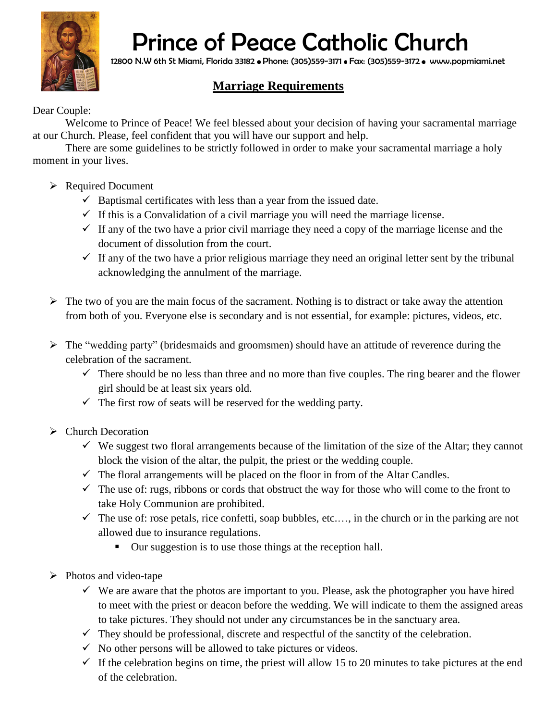

## Prince of Peace Catholic Church

12800 N.W 6th St Miami, Florida 33182 • Phone: (305)559-3171 • Fax: (305)559-3172 • www.popmiami.net

## **Marriage Requirements**

## Dear Couple:

Welcome to Prince of Peace! We feel blessed about your decision of having your sacramental marriage at our Church. Please, feel confident that you will have our support and help.

There are some guidelines to be strictly followed in order to make your sacramental marriage a holy moment in your lives.

- $\triangleright$  Required Document
	- $\checkmark$  Baptismal certificates with less than a year from the issued date.
	- $\checkmark$  If this is a Convalidation of a civil marriage you will need the marriage license.
	- $\checkmark$  If any of the two have a prior civil marriage they need a copy of the marriage license and the document of dissolution from the court.
	- $\checkmark$  If any of the two have a prior religious marriage they need an original letter sent by the tribunal acknowledging the annulment of the marriage.
- $\triangleright$  The two of you are the main focus of the sacrament. Nothing is to distract or take away the attention from both of you. Everyone else is secondary and is not essential, for example: pictures, videos, etc.
- $\triangleright$  The "wedding party" (bridesmaids and groomsmen) should have an attitude of reverence during the celebration of the sacrament.
	- $\checkmark$  There should be no less than three and no more than five couples. The ring bearer and the flower girl should be at least six years old.
	- $\checkmark$  The first row of seats will be reserved for the wedding party.
- $\triangleright$  Church Decoration
	- $\checkmark$  We suggest two floral arrangements because of the limitation of the size of the Altar; they cannot block the vision of the altar, the pulpit, the priest or the wedding couple.
	- $\checkmark$  The floral arrangements will be placed on the floor in from of the Altar Candles.
	- $\checkmark$  The use of: rugs, ribbons or cords that obstruct the way for those who will come to the front to take Holy Communion are prohibited.
	- $\checkmark$  The use of: rose petals, rice confetti, soap bubbles, etc..., in the church or in the parking are not allowed due to insurance regulations.
		- Our suggestion is to use those things at the reception hall.
- $\triangleright$  Photos and video-tape
	- $\checkmark$  We are aware that the photos are important to you. Please, ask the photographer you have hired to meet with the priest or deacon before the wedding. We will indicate to them the assigned areas to take pictures. They should not under any circumstances be in the sanctuary area.
	- $\checkmark$  They should be professional, discrete and respectful of the sanctity of the celebration.
	- $\checkmark$  No other persons will be allowed to take pictures or videos.
	- $\checkmark$  If the celebration begins on time, the priest will allow 15 to 20 minutes to take pictures at the end of the celebration.